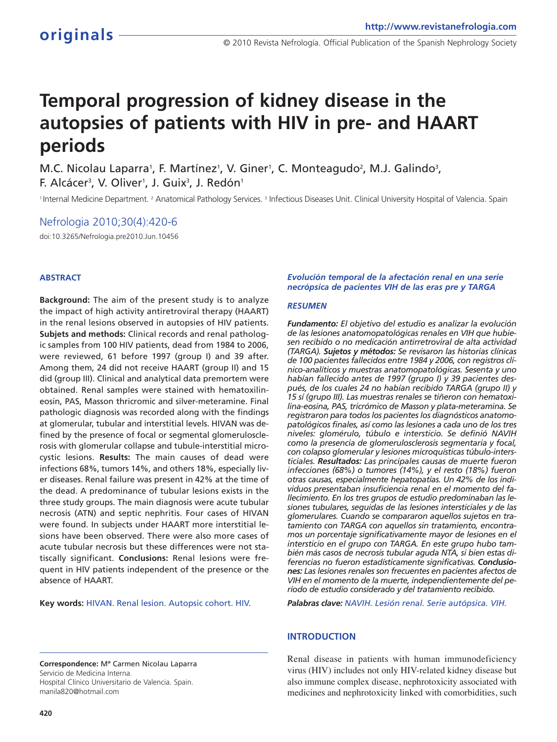# **Temporal progression of kidney disease in the autopsies of patients with HIV in pre- and HAART periods**

M.C. Nicolau Laparra<sup>1</sup>, F. Martínez<sup>1</sup>, V. Giner<sup>1</sup>, C. Monteagudo<sup>2</sup>, M.J. Galindo<sup>3</sup>, F. Alcácer<sup>3</sup>, V. Oliver<sup>1</sup>, J. Guix<sup>3</sup>, J. Redón<sup>1</sup>

<sup>1</sup> Internal Medicine Department. <sup>2</sup> Anatomical Pathology Services. <sup>3</sup> Infectious Diseases Unit. Clinical University Hospital of Valencia. Spain

# Nefrologia 2010;30(4):420-6

doi:10.3265/Nefrologia.pre2010.Jun.10456

### **ABSTRACT**

**Background:** The aim of the present study is to analyze the impact of high activity antiretroviral therapy (HAART) in the renal lesions observed in autopsies of HIV patients. **Subjets and methods:** Clinical records and renal pathologic samples from 100 HIV patients, dead from 1984 to 2006, were reviewed, 61 before 1997 (group I) and 39 after. Among them, 24 did not receive HAART (group II) and 15 did (group III). Clinical and analytical data premortem were obtained. Renal samples were stained with hematoxilineosin, PAS, Masson thricromic and silver-meteramine. Final pathologic diagnosis was recorded along with the findings at glomerular, tubular and interstitial levels. HIVAN was defined by the presence of focal or segmental glomerulosclerosis with glomerular collapse and tubule-interstitial microcystic lesions. **Results:** The main causes of dead were infections 68%, tumors 14%, and others 18%, especially liver diseases. Renal failure was present in 42% at the time of the dead. A predominance of tubular lesions exists in the three study groups. The main diagnosis were acute tubular necrosis (ATN) and septic nephritis. Four cases of HIVAN were found. In subjects under HAART more interstitial lesions have been observed. There were also more cases of acute tubular necrosis but these differences were not statiscally significant. **Conclusions:** Renal lesions were frequent in HIV patients independent of the presence or the absence of HAART.

**Key words:** HIVAN. Renal lesion. Autopsic cohort. HIV.

**Correspondence:** Mª Carmen Nicolau Laparra Servicio de Medicina Interna. Hospital Clínico Universitario de Valencia. Spain. manila820@hotmail.com

#### *Evolución temporal de la afectación renal en una serie necrópsica de pacientes VIH de las eras pre y TARGA*

#### *RESUMEN*

*Fundamento: El objetivo del estudio es analizar la evolución de las lesiones anatomopatológicas renales en VIH que hubiesen recibido o no medicación antirretroviral de alta actividad (TARGA). Sujetos y métodos: Se revisaron las historias clínicas de 100 pacientes fallecidos entre 1984 y 2006, con registros clínico-analíticos y muestras anatomopatológicas. Sesenta y uno habían fallecido antes de 1997 (grupo I) y 39 pacientes después, de los cuales 24 no habían recibido TARGA (grupo II) y 15 sí (grupo III). Las muestras renales se tiñeron con hematoxilina-eosina, PAS, tricrómico de Masson y plata-meteramina. Se registraron para todos los pacientes los diagnósticos anatomopatológicos finales, así como las lesiones a cada uno de los tres niveles: glomérulo, túbulo e intersticio. Se definió NAVIH como la presencia de glomerulosclerosis segmentaria y focal, con colapso glomerular y lesiones microquísticas túbulo-intersticiales. Resultados: Las principales causas de muerte fueron infecciones (68%) o tumores (14%), y el resto (18%) fueron otras causas, especialmente hepatopatías. Un 42% de los individuos presentaban insuficiencia renal en el momento del fallecimiento. En los tres grupos de estudio predominaban las lesiones tubulares, seguidas de las lesiones intersticiales y de las glomerulares. Cuando se compararon aquellos sujetos en tratamiento con TARGA con aquellos sin tratamiento, encontramos un porcentaje significativamente mayor de lesiones en el intersticio en el grupo con TARGA. En este grupo hubo también más casos de necrosis tubular aguda NTA, si bien estas diferencias no fueron estadísticamente significativas. Conclusiones: Las lesiones renales son frecuentes en pacientes afectos de VIH en el momento de la muerte, independientemente del período de estudio considerado y del tratamiento recibido.*

*Palabras clave: NAVIH. Lesión renal. Serie autópsica. VIH.*

#### **INTRODUCTION**

Renal disease in patients with human immunodeficiency virus (HIV) includes not only HIV-related kidney disease but also immune complex disease, nephrotoxicity associated with medicines and nephrotoxicity linked with comorbidities, such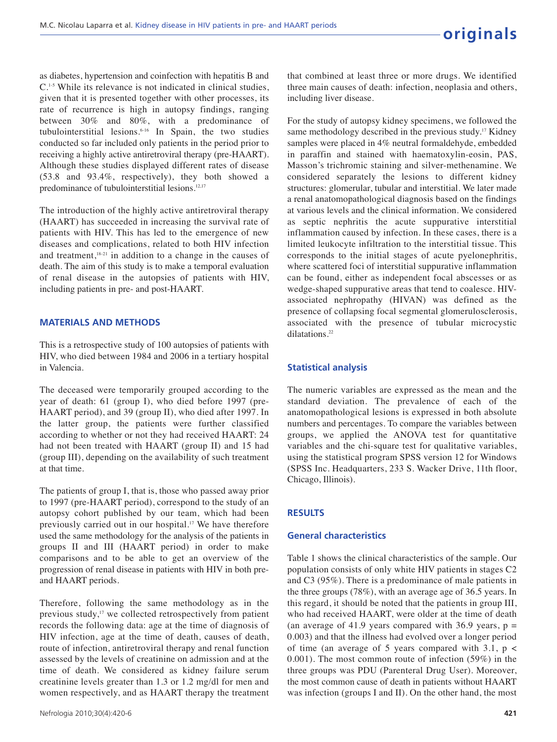as diabetes, hypertension and coinfection with hepatitis B and C.1-5 While its relevance is not indicated in clinical studies, given that it is presented together with other processes, its rate of recurrence is high in autopsy findings, ranging between 30% and 80%, with a predominance of tubulointerstitial lesions.6-16 In Spain, the two studies conducted so far included only patients in the period prior to receiving a highly active antiretroviral therapy (pre-HAART). Although these studies displayed different rates of disease (53.8 and 93.4%, respectively), they both showed a predominance of tubulointerstitial lesions.12,17

The introduction of the highly active antiretroviral therapy (HAART) has succeeded in increasing the survival rate of patients with HIV. This has led to the emergence of new diseases and complications, related to both HIV infection and treatment,<sup>18-21</sup> in addition to a change in the causes of death. The aim of this study is to make a temporal evaluation of renal disease in the autopsies of patients with HIV, including patients in pre- and post-HAART.

#### **MATERIALS AND METHODS**

This is a retrospective study of 100 autopsies of patients with HIV, who died between 1984 and 2006 in a tertiary hospital in Valencia.

The deceased were temporarily grouped according to the year of death: 61 (group I), who died before 1997 (pre-HAART period), and 39 (group II), who died after 1997. In the latter group, the patients were further classified according to whether or not they had received HAART: 24 had not been treated with HAART (group II) and 15 had (group III), depending on the availability of such treatment at that time.

The patients of group I, that is, those who passed away prior to 1997 (pre-HAART period), correspond to the study of an autopsy cohort published by our team, which had been previously carried out in our hospital.<sup>17</sup> We have therefore used the same methodology for the analysis of the patients in groups II and III (HAART period) in order to make comparisons and to be able to get an overview of the progression of renal disease in patients with HIV in both preand HAART periods.

Therefore, following the same methodology as in the previous study,<sup>17</sup> we collected retrospectively from patient records the following data: age at the time of diagnosis of HIV infection, age at the time of death, causes of death, route of infection, antiretroviral therapy and renal function assessed by the levels of creatinine on admission and at the time of death. We considered as kidney failure serum creatinine levels greater than 1.3 or 1.2 mg/dl for men and women respectively, and as HAART therapy the treatment

that combined at least three or more drugs. We identified three main causes of death: infection, neoplasia and others, including liver disease.

For the study of autopsy kidney specimens, we followed the same methodology described in the previous study.<sup>17</sup> Kidney samples were placed in 4% neutral formaldehyde, embedded in paraffin and stained with haematoxylin-eosin, PAS, Masson's trichromic staining and silver-methenamine. We considered separately the lesions to different kidney structures: glomerular, tubular and interstitial. We later made a renal anatomopathological diagnosis based on the findings at various levels and the clinical information. We considered as septic nephritis the acute suppurative interstitial inflammation caused by infection. In these cases, there is a limited leukocyte infiltration to the interstitial tissue. This corresponds to the initial stages of acute pyelonephritis, where scattered foci of interstitial suppurative inflammation can be found, either as independent focal abscesses or as wedge-shaped suppurative areas that tend to coalesce. HIVassociated nephropathy (HIVAN) was defined as the presence of collapsing focal segmental glomerulosclerosis, associated with the presence of tubular microcystic dilatations.<sup>22</sup>

#### **Statistical analysis**

The numeric variables are expressed as the mean and the standard deviation. The prevalence of each of the anatomopathological lesions is expressed in both absolute numbers and percentages. To compare the variables between groups, we applied the ANOVA test for quantitative variables and the chi-square test for qualitative variables, using the statistical program SPSS version 12 for Windows (SPSS Inc. Headquarters, 233 S. Wacker Drive, 11th floor, Chicago, Illinois).

#### **RESULTS**

#### **General characteristics**

Table 1 shows the clinical characteristics of the sample. Our population consists of only white HIV patients in stages C2 and C3 (95%). There is a predominance of male patients in the three groups (78%), with an average age of 36.5 years. In this regard, it should be noted that the patients in group III, who had received HAART, were older at the time of death (an average of 41.9 years compared with 36.9 years,  $p =$ 0.003) and that the illness had evolved over a longer period of time (an average of 5 years compared with 3.1,  $p \lt$ 0.001). The most common route of infection (59%) in the three groups was PDU (Parenteral Drug User). Moreover, the most common cause of death in patients without HAART was infection (groups I and II). On the other hand, the most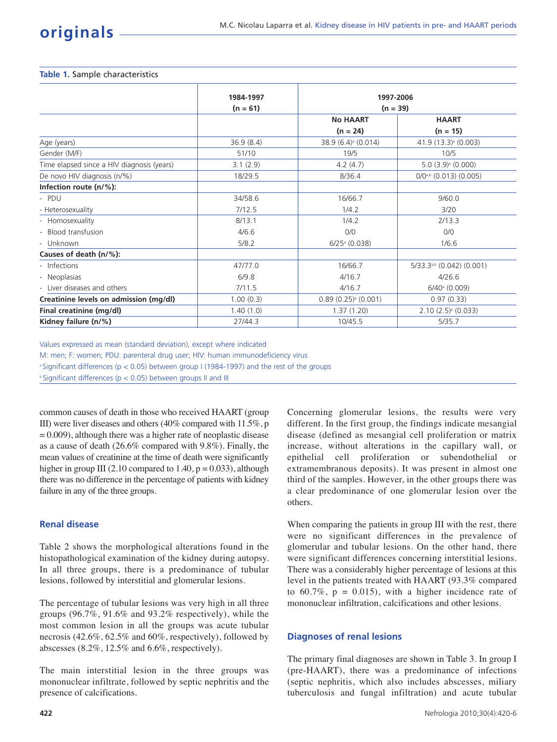#### **Table 1.** Sample characteristics

|                                            | 1984-1997<br>$(n = 61)$ | 1997-2006<br>$(n = 39)$         |                                      |  |
|--------------------------------------------|-------------------------|---------------------------------|--------------------------------------|--|
|                                            |                         |                                 |                                      |  |
|                                            |                         | <b>No HAART</b>                 | <b>HAART</b><br>$(n = 15)$           |  |
|                                            |                         | $(n = 24)$                      |                                      |  |
| Age (years)                                | 36.9(8.4)               | 38.9 (6.4) <sup>a</sup> (0.014) | 41.9 (13.3) <sup>a</sup> (0.003)     |  |
| Gender (M/F)                               | 51/10                   | 19/5                            | 10/5                                 |  |
| Time elapsed since a HIV diagnosis (years) | 3.1(2.9)                | 4.2(4.7)                        | $5.0$ $(3.9)$ <sup>a</sup> $(0.000)$ |  |
| De novo HIV diagnosis (n/%)                | 18/29.5                 | 8/36.4                          | $O/Oa,b$ (0.013) (0.005)             |  |
| Infection route (n/%):                     |                         |                                 |                                      |  |
| - PDU                                      | 34/58.6                 | 16/66.7                         | 9/60.0                               |  |
| - Heterosexuality                          | 7/12.5                  | 1/4.2                           | 3/20                                 |  |
| - Homosexuality                            | 8/13.1                  | 1/4.2                           | 2/13.3                               |  |
| - Blood transfusion                        | 4/6.6                   | 0/0                             | O/O                                  |  |
| - Unknown                                  | 5/8.2                   | $6/25$ <sup>a</sup> (0.038)     | 1/6.6                                |  |
| Causes of death (n/%):                     |                         |                                 |                                      |  |
| - Infections                               | 47/77.0                 | 16/66.7                         | 5/33.3a,b (0.042) (0.001)            |  |
| - Neoplasias                               | 6/9.8                   | 4/16.7                          | 4/26.6                               |  |
| - Liver diseases and others                | 7/11.5                  | 4/16.7                          | $6/40^{\circ}$ (0.009)               |  |
| Creatinine levels on admission (mg/dl)     | 1.00(0.3)               | $0.89(0.25)^{a}(0.001)$         | 0.97(0.33)                           |  |
| Final creatinine (mg/dl)                   | 1.40(1.0)               | 1.37(1.20)                      | $2.10(2.5)$ <sup>a</sup> (0.033)     |  |
| Kidney failure (n/%)                       | 27/44.3                 | 10/45.5                         | 5/35.7                               |  |
|                                            |                         |                                 |                                      |  |

Values expressed as mean (standard deviation), except where indicated

M: men; F: women; PDU: parenteral drug user; HIV: human immunodeficiency virus

<sup>a</sup> Significant differences ( $p < 0.05$ ) between group I (1984-1997) and the rest of the groups

b Significant differences (p < 0.05) between groups II and III

common causes of death in those who received HAART (group III) were liver diseases and others (40% compared with 11.5%, p  $= 0.009$ ), although there was a higher rate of neoplastic disease as a cause of death (26.6% compared with 9.8%). Finally, the mean values of creatinine at the time of death were significantly higher in group III (2.10 compared to  $1.40$ ,  $p = 0.033$ ), although there was no difference in the percentage of patients with kidney failure in any of the three groups.

# **Renal disease**

Table 2 shows the morphological alterations found in the histopathological examination of the kidney during autopsy. In all three groups, there is a predominance of tubular lesions, followed by interstitial and glomerular lesions.

The percentage of tubular lesions was very high in all three groups (96.7%, 91.6% and 93.2% respectively), while the most common lesion in all the groups was acute tubular necrosis (42.6%, 62.5% and 60%, respectively), followed by abscesses (8.2%, 12.5% and 6.6%, respectively).

The main interstitial lesion in the three groups was mononuclear infiltrate, followed by septic nephritis and the presence of calcifications.

**422**

Concerning glomerular lesions, the results were very different. In the first group, the findings indicate mesangial disease (defined as mesangial cell proliferation or matrix increase, without alterations in the capillary wall, or epithelial cell proliferation or subendothelial or extramembranous deposits). It was present in almost one third of the samples. However, in the other groups there was a clear predominance of one glomerular lesion over the others.

When comparing the patients in group III with the rest, there were no significant differences in the prevalence of glomerular and tubular lesions. On the other hand, there were significant differences concerning interstitial lesions. There was a considerably higher percentage of lesions at this level in the patients treated with HAART (93.3% compared to  $60.7\%$ ,  $p = 0.015$ ), with a higher incidence rate of mononuclear infiltration, calcifications and other lesions.

# **Diagnoses of renal lesions**

The primary final diagnoses are shown in Table 3. In group I (pre-HAART), there was a predominance of infections (septic nephritis, which also includes abscesses, miliary tuberculosis and fungal infiltration) and acute tubular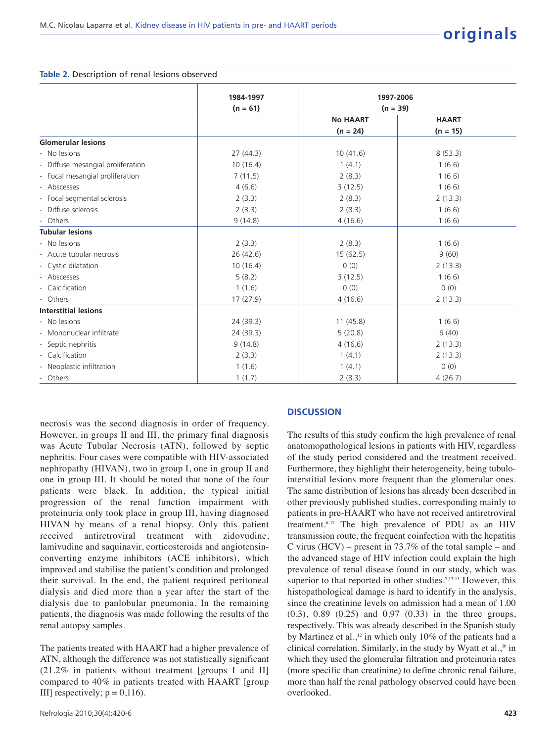#### **Table 2.** Description of renal lesions observed

|                                   | 1984-1997  |                         |              |
|-----------------------------------|------------|-------------------------|--------------|
|                                   |            | 1997-2006<br>$(n = 39)$ |              |
|                                   | $(n = 61)$ | <b>No HAART</b>         | <b>HAART</b> |
|                                   |            | $(n = 24)$              | $(n = 15)$   |
| <b>Glomerular lesions</b>         |            |                         |              |
| - No lesions                      | 27(44.3)   | 10(41.6)                | 8(53.3)      |
| - Diffuse mesangial proliferation | 10(16.4)   | 1(4.1)                  | 1(6.6)       |
| - Focal mesangial proliferation   | 7(11.5)    | 2(8.3)                  | 1(6.6)       |
| - Abscesses                       | 4(6.6)     | 3(12.5)                 | 1(6.6)       |
| - Focal segmental sclerosis       | 2(3.3)     | 2(8.3)                  | 2(13.3)      |
| - Diffuse sclerosis               | 2(3.3)     | 2(8.3)                  | 1(6.6)       |
| - Others                          | 9(14.8)    | 4(16.6)                 | 1(6.6)       |
| <b>Tubular lesions</b>            |            |                         |              |
| - No lesions                      | 2(3.3)     | 2(8.3)                  | 1(6.6)       |
| - Acute tubular necrosis          | 26 (42.6)  | 15(62.5)                | 9(60)        |
| - Cystic dilatation               | 10(16.4)   | 0(0)                    | 2(13.3)      |
| - Abscesses                       | 5(8.2)     | 3(12.5)                 | 1(6.6)       |
| - Calcification                   | 1(1.6)     | 0(0)                    | 0(0)         |
| - Others                          | 17(27.9)   | 4(16.6)                 | 2(13.3)      |
| <b>Interstitial lesions</b>       |            |                         |              |
| - No lesions                      | 24 (39.3)  | 11(45.8)                | 1(6.6)       |
| - Mononuclear infiltrate          | 24(39.3)   | 5(20.8)                 | 6(40)        |
| - Septic nephritis                | 9(14.8)    | 4(16.6)                 | 2(13.3)      |
| - Calcification                   | 2(3.3)     | 1(4.1)                  | 2(13.3)      |
| - Neoplastic infiltration         | 1(1.6)     | 1(4.1)                  | 0(0)         |
| - Others                          | 1(1.7)     | 2(8.3)                  | 4(26.7)      |

necrosis was the second diagnosis in order of frequency. However, in groups II and III, the primary final diagnosis was Acute Tubular Necrosis (ATN), followed by septic nephritis. Four cases were compatible with HIV-associated nephropathy (HIVAN), two in group I, one in group II and one in group III. It should be noted that none of the four patients were black. In addition, the typical initial progression of the renal function impairment with proteinuria only took place in group III, having diagnosed HIVAN by means of a renal biopsy. Only this patient received antiretroviral treatment with zidovudine, lamivudine and saquinavir, corticosteroids and angiotensinconverting enzyme inhibitors (ACE inhibitors), which improved and stabilise the patient's condition and prolonged their survival. In the end, the patient required peritoneal dialysis and died more than a year after the start of the dialysis due to panlobular pneumonia. In the remaining patients, the diagnosis was made following the results of the renal autopsy samples.

The patients treated with HAART had a higher prevalence of ATN, although the difference was not statistically significant (21.2% in patients without treatment [groups I and II] compared to 40% in patients treated with HAART [group III] respectively;  $p = 0,116$ .

#### **DISCUSSION**

The results of this study confirm the high prevalence of renal anatomopathological lesions in patients with HIV, regardless of the study period considered and the treatment received. Furthermore, they highlight their heterogeneity, being tubulointerstitial lesions more frequent than the glomerular ones. The same distribution of lesions has already been described in other previously published studies, corresponding mainly to patients in pre-HAART who have not received antiretroviral treatment.6-17 The high prevalence of PDU as an HIV transmission route, the frequent coinfection with the hepatitis C virus (HCV) – present in 73.7% of the total sample – and the advanced stage of HIV infection could explain the high prevalence of renal disease found in our study, which was superior to that reported in other studies.<sup>7,13-15</sup> However, this histopathological damage is hard to identify in the analysis, since the creatinine levels on admission had a mean of 1.00 (0.3), 0.89 (0.25) and 0.97 (0.33) in the three groups, respectively. This was already described in the Spanish study by Martinez et al.,<sup>12</sup> in which only 10% of the patients had a clinical correlation. Similarly, in the study by Wyatt et al.,<sup>30</sup> in which they used the glomerular filtration and proteinuria rates (more specific than creatinine) to define chronic renal failure, more than half the renal pathology observed could have been overlooked.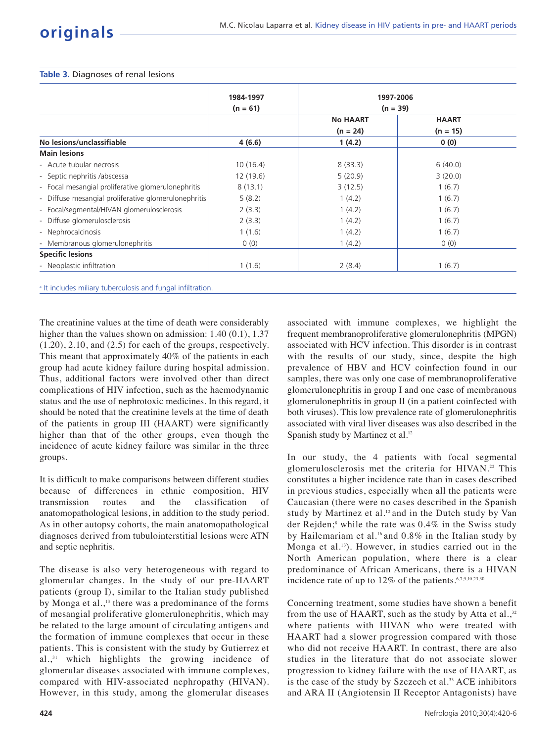#### **Table 3.** Diagnoses of renal lesions

|                                                      | 1984-1997<br>$(n = 61)$ | 1997-2006<br>$(n = 39)$       |                            |
|------------------------------------------------------|-------------------------|-------------------------------|----------------------------|
|                                                      |                         |                               |                            |
|                                                      |                         | <b>No HAART</b><br>$(n = 24)$ | <b>HAART</b><br>$(n = 15)$ |
|                                                      |                         |                               |                            |
| No lesions/unclassifiable                            | 4(6.6)                  | 1(4.2)                        | 0(0)                       |
| <b>Main lesions</b>                                  |                         |                               |                            |
| - Acute tubular necrosis                             | 10(16.4)                | 8(33.3)                       | 6(40.0)                    |
| - Septic nephritis /abscessa                         | 12(19.6)                | 5(20.9)                       | 3(20.0)                    |
| - Focal mesangial proliferative glomerulonephritis   | 8(13.1)                 | 3(12.5)                       | 1(6.7)                     |
| - Diffuse mesangial proliferative glomerulonephritis | 5(8.2)                  | 1(4.2)                        | 1(6.7)                     |
| - Focal/segmental/HIVAN glomerulosclerosis           | 2(3.3)                  | 1(4.2)                        | 1(6.7)                     |
| - Diffuse glomerulosclerosis                         | 2(3.3)                  | 1(4.2)                        | 1(6.7)                     |
| - Nephrocalcinosis                                   | 1(1.6)                  | 1(4.2)                        | 1(6.7)                     |
| - Membranous glomerulonephritis                      | 0(0)                    | 1(4.2)                        | 0(0)                       |
| <b>Specific lesions</b>                              |                         |                               |                            |
| - Neoplastic infiltration                            | 1(1.6)                  | 2(8.4)                        | 1(6.7)                     |

<sup>a</sup> It includes miliary tuberculosis and fungal infiltration.

The creatinine values at the time of death were considerably higher than the values shown on admission: 1.40 (0.1), 1.37 (1.20), 2.10, and (2.5) for each of the groups, respectively. This meant that approximately 40% of the patients in each group had acute kidney failure during hospital admission. Thus, additional factors were involved other than direct complications of HIV infection, such as the haemodynamic status and the use of nephrotoxic medicines. In this regard, it should be noted that the creatinine levels at the time of death of the patients in group III (HAART) were significantly higher than that of the other groups, even though the incidence of acute kidney failure was similar in the three groups.

It is difficult to make comparisons between different studies because of differences in ethnic composition, HIV transmission routes and the classification anatomopathological lesions, in addition to the study period. As in other autopsy cohorts, the main anatomopathological diagnoses derived from tubulointerstitial lesions were ATN and septic nephritis.

The disease is also very heterogeneous with regard to glomerular changes. In the study of our pre-HAART patients (group I), similar to the Italian study published by Monga et al.,<sup>13</sup> there was a predominance of the forms of mesangial proliferative glomerulonephritis, which may be related to the large amount of circulating antigens and the formation of immune complexes that occur in these patients. This is consistent with the study by Gutierrez et al.,<sup>31</sup> which highlights the growing incidence of glomerular diseases associated with immune complexes, compared with HIV-associated nephropathy (HIVAN). However, in this study, among the glomerular diseases

associated with immune complexes, we highlight the frequent membranoproliferative glomerulonephritis (MPGN) associated with HCV infection. This disorder is in contrast with the results of our study, since, despite the high prevalence of HBV and HCV coinfection found in our samples, there was only one case of membranoproliferative glomerulonephritis in group I and one case of membranous glomerulonephritis in group II (in a patient coinfected with both viruses). This low prevalence rate of glomerulonephritis associated with viral liver diseases was also described in the Spanish study by Martinez et al.<sup>12</sup>

In our study, the 4 patients with focal segmental glomerulosclerosis met the criteria for HIVAN.<sup>22</sup> This constitutes a higher incidence rate than in cases described in previous studies, especially when all the patients were Caucasian (there were no cases described in the Spanish study by Martinez et al.<sup>12</sup> and in the Dutch study by Van der Rejden;<sup>8</sup> while the rate was  $0.4\%$  in the Swiss study by Hailemariam et al.<sup>16</sup> and 0.8% in the Italian study by Monga et al.13). However, in studies carried out in the North American population, where there is a clear predominance of African Americans, there is a HIVAN incidence rate of up to  $12\%$  of the patients.<sup>6,7,9,10,23,30</sup>

Concerning treatment, some studies have shown a benefit from the use of HAART, such as the study by Atta et al., $32$ where patients with HIVAN who were treated with HAART had a slower progression compared with those who did not receive HAART. In contrast, there are also studies in the literature that do not associate slower progression to kidney failure with the use of HAART, as is the case of the study by Szczech et al.<sup>33</sup> ACE inhibitors and ARA II (Angiotensin II Receptor Antagonists) have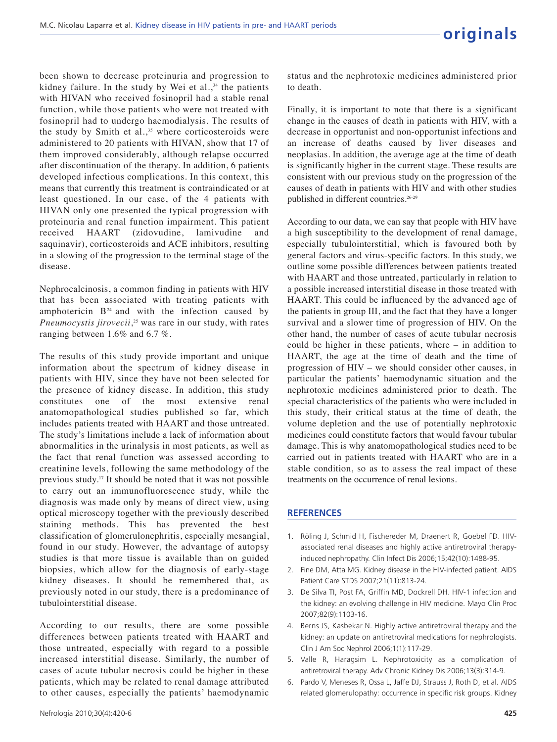been shown to decrease proteinuria and progression to kidney failure. In the study by Wei et al., $34$  the patients with HIVAN who received fosinopril had a stable renal function, while those patients who were not treated with fosinopril had to undergo haemodialysis. The results of the study by Smith et al., $35$  where corticosteroids were administered to 20 patients with HIVAN, show that 17 of them improved considerably, although relapse occurred after discontinuation of the therapy. In addition, 6 patients developed infectious complications. In this context, this means that currently this treatment is contraindicated or at least questioned. In our case, of the 4 patients with HIVAN only one presented the typical progression with proteinuria and renal function impairment. This patient received HAART (zidovudine, lamivudine and saquinavir), corticosteroids and ACE inhibitors, resulting in a slowing of the progression to the terminal stage of the disease.

Nephrocalcinosis, a common finding in patients with HIV that has been associated with treating patients with amphotericin  $B<sup>24</sup>$  and with the infection caused by *Pneumocystis jirovecii*, <sup>25</sup> was rare in our study, with rates ranging between 1.6% and 6.7 %.

The results of this study provide important and unique information about the spectrum of kidney disease in patients with HIV, since they have not been selected for the presence of kidney disease. In addition, this study constitutes one of the most extensive renal anatomopathological studies published so far, which includes patients treated with HAART and those untreated. The study's limitations include a lack of information about abnormalities in the urinalysis in most patients, as well as the fact that renal function was assessed according to creatinine levels, following the same methodology of the previous study.<sup>17</sup> It should be noted that it was not possible to carry out an immunofluorescence study, while the diagnosis was made only by means of direct view, using optical microscopy together with the previously described staining methods. This has prevented the best classification of glomerulonephritis, especially mesangial, found in our study. However, the advantage of autopsy studies is that more tissue is available than on guided biopsies, which allow for the diagnosis of early-stage kidney diseases. It should be remembered that, as previously noted in our study, there is a predominance of tubulointerstitial disease.

According to our results, there are some possible differences between patients treated with HAART and those untreated, especially with regard to a possible increased interstitial disease. Similarly, the number of cases of acute tubular necrosis could be higher in these patients, which may be related to renal damage attributed to other causes, especially the patients' haemodynamic

status and the nephrotoxic medicines administered prior to death.

Finally, it is important to note that there is a significant change in the causes of death in patients with HIV, with a decrease in opportunist and non-opportunist infections and an increase of deaths caused by liver diseases and neoplasias. In addition, the average age at the time of death is significantly higher in the current stage. These results are consistent with our previous study on the progression of the causes of death in patients with HIV and with other studies published in different countries.<sup>26-29</sup>

According to our data, we can say that people with HIV have a high susceptibility to the development of renal damage, especially tubulointerstitial, which is favoured both by general factors and virus-specific factors. In this study, we outline some possible differences between patients treated with HAART and those untreated, particularly in relation to a possible increased interstitial disease in those treated with HAART. This could be influenced by the advanced age of the patients in group III, and the fact that they have a longer survival and a slower time of progression of HIV. On the other hand, the number of cases of acute tubular necrosis could be higher in these patients, where – in addition to HAART, the age at the time of death and the time of progression of HIV – we should consider other causes, in particular the patients' haemodynamic situation and the nephrotoxic medicines administered prior to death. The special characteristics of the patients who were included in this study, their critical status at the time of death, the volume depletion and the use of potentially nephrotoxic medicines could constitute factors that would favour tubular damage. This is why anatomopathological studies need to be carried out in patients treated with HAART who are in a stable condition, so as to assess the real impact of these treatments on the occurrence of renal lesions.

# **REFERENCES**

- 1. Röling J, Schmid H, Fischereder M, Draenert R, Goebel FD. HIVassociated renal diseases and highly active antiretroviral therapyinduced nephropathy. Clin Infect Dis 2006;15;42(10):1488-95.
- 2. Fine DM, Atta MG. Kidney disease in the HIV-infected patient. AIDS Patient Care STDS 2007;21(11):813-24.
- 3. De Silva TI, Post FA, Griffin MD, Dockrell DH. HIV-1 infection and the kidney: an evolving challenge in HIV medicine. Mayo Clin Proc 2007;82(9):1103-16.
- 4. Berns JS, Kasbekar N. Highly active antiretroviral therapy and the kidney: an update on antiretroviral medications for nephrologists. Clin J Am Soc Nephrol 2006;1(1):117-29.
- 5. Valle R, Haragsim L. Nephrotoxicity as a complication of antiretroviral therapy. Adv Chronic Kidney Dis 2006;13(3):314-9.
- 6. Pardo V, Meneses R, Ossa L, Jaffe DJ, Strauss J, Roth D, et al. AIDS related glomerulopathy: occurrence in specific risk groups. Kidney